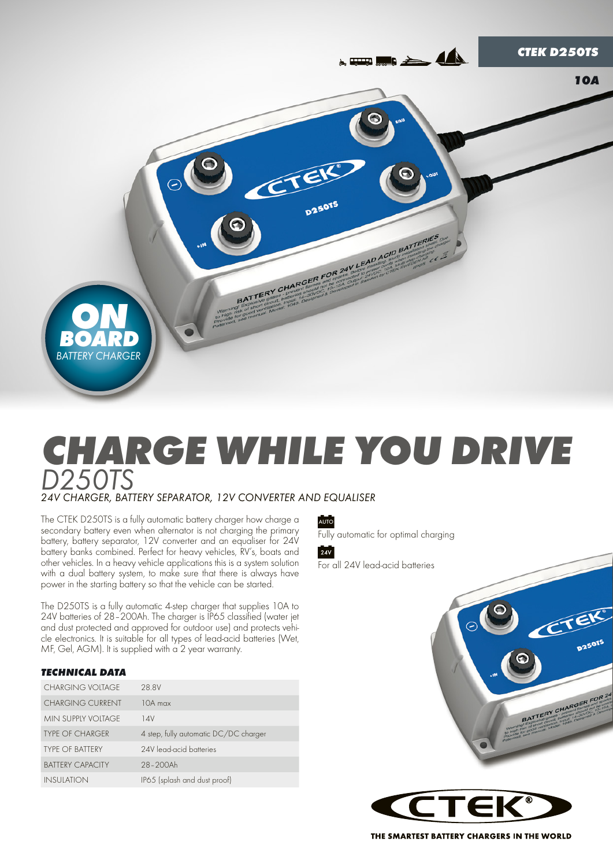

# *Charge while you drive D250TS 24V CHARGER, BATTERY SEPARATOR, 12V CONVERTER AND EQUALISER*

The CTEK D250TS is a fully automatic battery charger how charge a secondary battery even when alternator is not charging the primary battery, battery separator, 12V converter and an equaliser for 24V battery banks combined. Perfect for heavy vehicles, RV's, boats and other vehicles. In a heavy vehicle applications this is a system solution with a dual battery system, to make sure that there is always have power in the starting battery so that the vehicle can be started.

The D250TS is a fully automatic 4-step charger that supplies 10A to 24V batteries of 28–200Ah. The charger is IP65 classified (water jet and dust protected and approved for outdoor use) and protects vehicle electronics. It is suitable for all types of lead-acid batteries (Wet, MF, Gel, AGM). It is supplied with  $\alpha$  2 year warranty.

# *TECHNICAL DATA*

| CHARGING VOITAGE        | 28.8V                                 |
|-------------------------|---------------------------------------|
| <b>CHARGING CURRENT</b> | 10A max                               |
| MIN SUPPIY VOITAGE      | 14V                                   |
| <b>TYPE OF CHARGER</b>  | 4 step, fully automatic DC/DC charger |
| <b>TYPE OF BATTERY</b>  | 24V lead-acid batteries               |
| <b>BATTERY CAPACITY</b> | 28-200Ah                              |
| <b>INSULATION</b>       | IP65 (splash and dust proof)          |

AUTO

Fully automatic for optimal charging



For all 24V lead-acid batteries